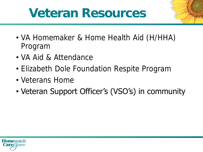# **Veteran Resources**

- VA Homemaker & Home Health Aid (H/HHA) Program
- VA Aid & Attendance
- Elizabeth Dole Foundation Respite Program
- Veterans Home
- Veteran Support Officer's (VSO's) in community

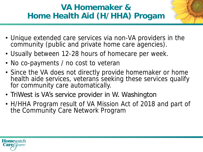## **VA Homemaker & Home Health Aid (H/HHA) Progam**

- Unique extended care services via non-VA providers in the community (public and private home care agencies).
- Usually between 12-28 hours of homecare per week.
- No co-payments / no cost to veteran
- Since the VA does not directly provide homemaker or home health aide services, veterans seeking these services qualify for community care automatically.
- TriWest is VA's service provider in W. Washington
- H/HHA Program result of VA Mission Act of 2018 and part of the Community Care Network Program

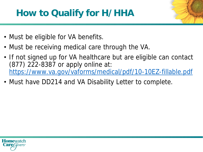# **How to Qualify for H/HHA**

- Must be eligible for VA benefits.
- Must be receiving medical care through the VA.
- If not signed up for VA healthcare but are eligible can contact (877) 222-8387 or apply online at: <https://www.va.gov/vaforms/medical/pdf/10-10EZ-fillable.pdf>
- Must have DD214 and VA Disability Letter to complete.

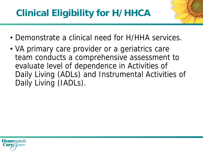- Demonstrate a clinical need for H/HHA services.
- VA primary care provider or a geriatrics care team conducts a comprehensive assessment to evaluate level of dependence in Activities of Daily Living (ADLs) and Instrumental Activities of Daily Living (IADLs).

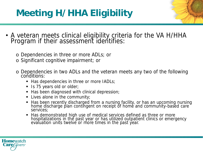# **Meeting H/HHA Eligibility**

- A veteran meets clinical eligibility criteria for the VA H/HHA Program if their assessment identifies:
	- o Dependencies in three or more ADLs; or
	- o Significant cognitive impairment; or
	- o Dependencies in two ADLs and the veteran meets any two of the following conditions:
		- Has dependencies in three or more IADLs;
		- Is 75 years old or older;
		- Has been diagnosed with clinical depression;
		- **EXEC** Lives alone in the community;
		- Has been recently discharged from a nursing facility, or has an upcoming nursing home discharge plan contingent on receipt of home and community-based care services;
		- Has demonstrated high use of medical services defined as three or more hospitalizations in the past year or has utilized outpatient clinics or emergency evaluation units twelve or more times in the past year.

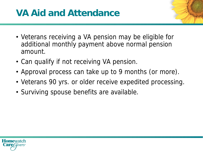## **VA Aid and Attendance**

- Veterans receiving a VA pension may be eligible for additional monthly payment above normal pension amount.
- Can qualify if not receiving VA pension.
- Approval process can take up to 9 months (or more).
- Veterans 90 yrs. or older receive expedited processing.
- Surviving spouse benefits are available.

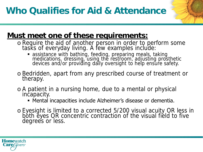#### **Must meet one of these requirements:**

- o Require the aid of another person in order to perform some tasks of everyday living. A few examples include:
	- **•** assistance with bathing, feeding, preparing meals, taking medications, dressing, using the restroom, adjusting prosthetic devices and/or providing daily oversight to help ensure safety.
- o Bedridden, apart from any prescribed course of treatment or therapy.
- o A patient in a nursing home, due to a mental or physical incapacity.
	- **EXA** Mental incapacities include Alzheimer's disease or dementia.
- o Eyesight is limited to a corrected 5/200 visual acuity OR less in both eyes OR concentric contraction of the visual field to five degrees or less.

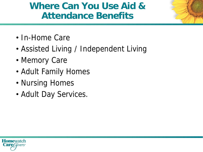## **Where Can You Use Aid & Attendance Benefits**

- In-Home Care
- Assisted Living / Independent Living
- Memory Care
- Adult Family Homes
- Nursing Homes
- Adult Day Services.

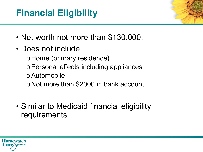# **Financial Eligibility**

- Net worth not more than \$130,000.
- Does not include:
	- o Home (primary residence)
	- oPersonal effects including appliances
	- oAutomobile
	- o Not more than \$2000 in bank account
- Similar to Medicaid financial eligibility requirements.

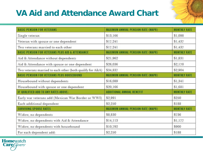## **VA Aid and Attendance Award Chart**



| <b>BASIC PENSION FOR VETERANS</b>                           | <b>MAXIMUM ANNUAL PENSION RATE (MAPR)</b> | <b>MONTHLY RATE</b> |
|-------------------------------------------------------------|-------------------------------------------|---------------------|
| Single veteran                                              | \$13,166                                  | \$1,098             |
| Veteran with spouse or one dependent                        | \$17,241                                  | \$1,437             |
| Two veterans married to each other                          | \$17,241                                  | \$1,437             |
| <b>BASIC PENSION FOR VETERANS PLUS AID &amp; ATTENDANCE</b> | <b>MAXIMUM ANNUAL PENSION RATE (MAPR)</b> | <b>MONTHLY RATE</b> |
| Aid & Attendance without dependents                         | \$21,962                                  | \$1,831             |
| Aid & Attendance with spouse or one dependent               | \$26,036                                  | \$2,170             |
| Two veterans married to each other (both qualify for A&A)   | \$34,837                                  | \$2,904             |
| <b>BASIC PENSION FOR VETERANS PLUS HOUSEBOUND</b>           | MAXIMUM ANNUAL PENSION RATE (MAPR)        | <b>MONTHLY RATE</b> |
| Housebound without dependents                               | \$16,089                                  | \$1,341             |
| Housebound with spouse or one dependent                     | \$20,166                                  | \$1,681             |
| IF QUALIFIED ADD TO ANY RATES ABOVE:                        | ADDITIONAL ANNUAL BENEFIT                 | <b>MONTHLY RATE</b> |
| Early war veterans add (Mexican War Border or WWI)          | \$2,991                                   | \$250               |
| Each additional dependent                                   | \$2,250                                   | \$188               |
| <b>SURVIVING SPOUSE RATES</b>                               | <b>MAXIMUM ANNUAL PENSION RATE (MAPR)</b> | <b>MONTHLY RATE</b> |
| Widow, no dependents                                        | \$8,830                                   | \$736               |
| Widow, no dependents with Aid & Attendance                  | \$14,113                                  | \$1,177             |
| Widow, no dependents with housebound                        | \$10,792                                  | \$900               |
| For each dependent add:                                     | \$2,250                                   | \$188               |

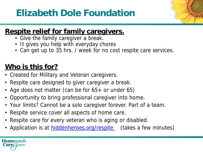# **Elizabeth Dole Foundation**



#### **Respite relief for family caregivers.**

- Give the family caregiver a break.
- It gives you help with everyday chores
- Can get up to 35 hrs. / week for no cost respite care services.

## **Who is this for?**

- Created for Military and Veteran caregivers.
- Respite care designed to giver caregiver a break.
- Age does not matter (can be for 65+ or under 65)
- Opportunity to bring professional caregiver into home.
- Your limits? Cannot be a solo caregiver forever. Part of a team.
- Respite service cover all aspects of home care.
- Respite care for every veteran who is aging or disabled.
- Application is at *hiddenheroes.org/respite* (takes a few minutes)

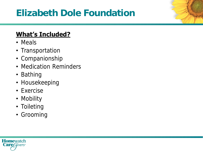# **Elizabeth Dole Foundation**

#### **What's Included?**

- Meals
- Transportation
- Companionship
- Medication Reminders
- Bathing
- Housekeeping
- Exercise
- Mobility
- Toileting
- Grooming

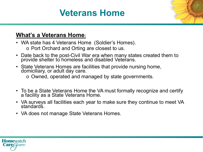## **Veterans Home**

#### **What's a Veterans Home:**

- WA state has 4 Veterans Home (Soldier's Homes). o Port Orchard and Orting are closest to us.
- Date back to the post-Civil War era when many states created them to provide shelter to homeless and disabled Veterans.
- State Veterans Homes are facilities that provide nursing home, domiciliary, or adult day care.
	- o Owned, operated and managed by state governments.
- To be a State Veterans Home the VA must formally recognize and certify a facility as a State Veterans Home.
- VA surveys all facilities each year to make sure they continue to meet VA standards.
- VA does not manage State Veterans Homes.

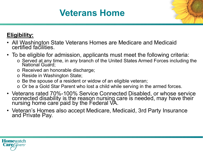## **Veterans Home**

#### **Eligibility:**

- All Washington State Veterans Homes are Medicare and Medicaid certified facilities.
- To be eligible for admission, applicants must meet the following criteria:
	- o Served at any time, in any branch of the United States Armed Forces including the National Guard;
	- o Received an honorable discharge;
	- o Reside in Washington State;
	- o Be the spouse of a resident or widow of an eligible veteran;
	- o Or be a Gold Star Parent who lost a child while serving in the armed forces.
- Veterans rated 70%-100% Service Connected Disabled, or whose service connected disability is the reason nursing care is needed, may have their nursing home care paid by the Federal VA.
- Veteran's Homes also accept Medicare, Medicaid, 3rd Party Insurance and Private Pay.

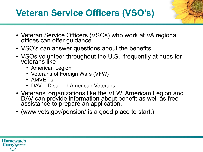# **Veteran Service Officers (VSO's)**

- Veteran Service Officers (VSOs) who work at VA regional offices can offer guidance.
- VSO's can answer questions about the benefits.
- VSOs volunteer throughout the U.S., frequently at hubs for veterans like
	- American Legion
	- Veterans of Foreign Wars (VFW)
	- AMVET's
	- DAV Disabled American Veterans.
- Veterans' organizations like the VFW, American Legion and DAV can provide information about benefit as well as free assistance to prepare an application.
- (www.vets.gov/pension/ is a good place to start.)

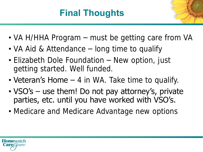# **Final Thoughts**

- VA H/HHA Program must be getting care from VA
- VA Aid & Attendance long time to qualify
- Elizabeth Dole Foundation New option, just getting started. Well funded.
- Veteran's Home  $-$  4 in WA. Take time to qualify.
- VSO's use them! Do not pay attorney's, private parties, etc. until you have worked with VSO's.
- Medicare and Medicare Advantage new options

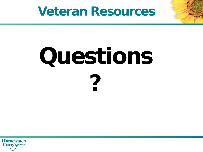# **Veteran Resources**

# **Questions ?**